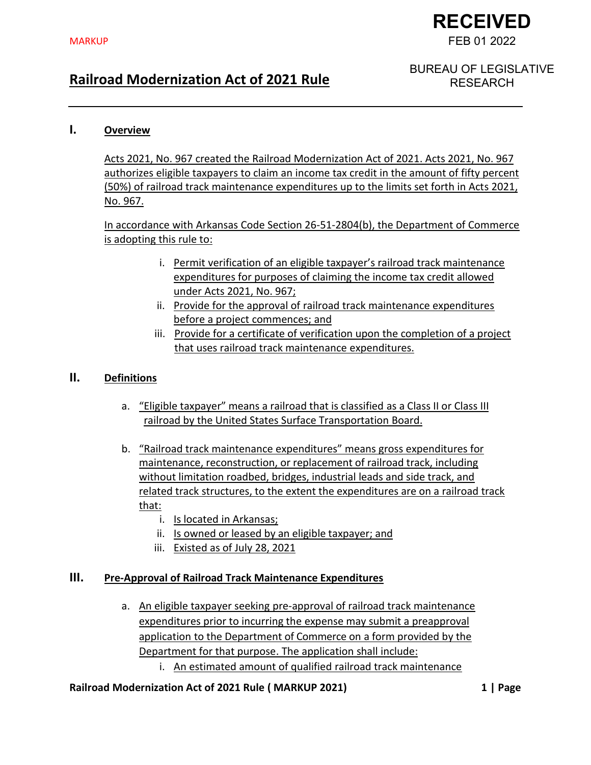# **RECEIVED** FEB 01 2022

## **Railroad Modernization Act of 2021 Rule**

BUREAU OF LEGISLATIVE RESEARCH

#### **I. Overview**

Acts 2021, No. 967 created the Railroad Modernization Act of 2021. Acts 2021, No. 967 authorizes eligible taxpayers to claim an income tax credit in the amount of fifty percent (50%) of railroad track maintenance expenditures up to the limits set forth in Acts 2021, No. 967.

In accordance with Arkansas Code Section 26-51-2804(b), the Department of Commerce is adopting this rule to:

- i. Permit verification of an eligible taxpayer's railroad track maintenance expenditures for purposes of claiming the income tax credit allowed under Acts 2021, No. 967;
- ii. Provide for the approval of railroad track maintenance expenditures before a project commences; and
- iii. Provide for a certificate of verification upon the completion of a project that uses railroad track maintenance expenditures.

### **II. Definitions**

- a. "Eligible taxpayer" means a railroad that is classified as a Class II or Class III railroad by the United States Surface Transportation Board.
- b. "Railroad track maintenance expenditures" means gross expenditures for maintenance, reconstruction, or replacement of railroad track, including without limitation roadbed, bridges, industrial leads and side track, and related track structures, to the extent the expenditures are on a railroad track that:
	- i. Is located in Arkansas;
	- ii. Is owned or leased by an eligible taxpayer; and
	- iii. Existed as of July 28, 2021

#### **III. Pre-Approval of Railroad Track Maintenance Expenditures**

a. An eligible taxpayer seeking pre-approval of railroad track maintenance expenditures prior to incurring the expense may submit a preapproval application to the Department of Commerce on a form provided by the Department for that purpose. The application shall include: i. An estimated amount of qualified railroad track maintenance

#### **Railroad Modernization Act of 2021 Rule ( MARKUP 2021) 1 | Page**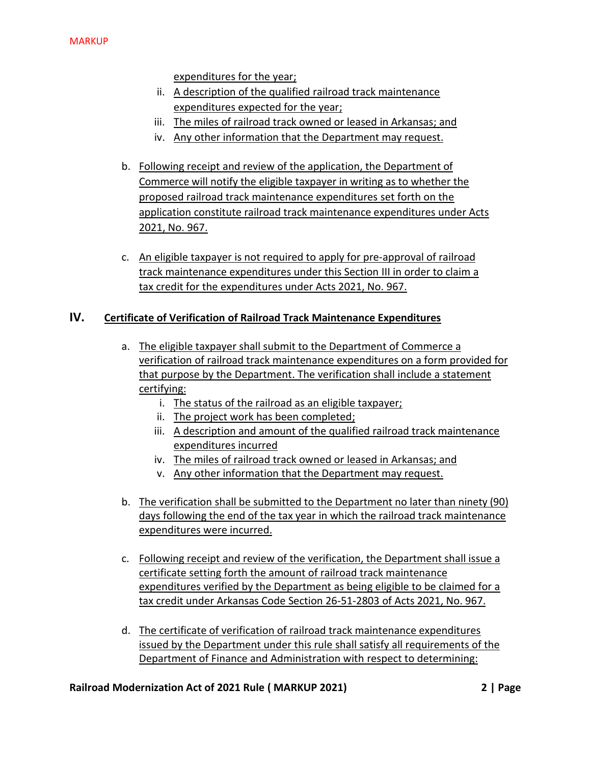expenditures for the year;

- ii. A description of the qualified railroad track maintenance expenditures expected for the year;
- iii. The miles of railroad track owned or leased in Arkansas; and
- iv. Any other information that the Department may request.
- b. Following receipt and review of the application, the Department of Commerce will notify the eligible taxpayer in writing as to whether the proposed railroad track maintenance expenditures set forth on the application constitute railroad track maintenance expenditures under Acts 2021, No. 967.
- c. An eligible taxpayer is not required to apply for pre-approval of railroad track maintenance expenditures under this Section III in order to claim a tax credit for the expenditures under Acts 2021, No. 967.

#### **IV. Certificate of Verification of Railroad Track Maintenance Expenditures**

- a. The eligible taxpayer shall submit to the Department of Commerce a verification of railroad track maintenance expenditures on a form provided for that purpose by the Department. The verification shall include a statement certifying:
	- i. The status of the railroad as an eligible taxpayer;
	- ii. The project work has been completed;
	- iii. A description and amount of the qualified railroad track maintenance expenditures incurred
	- iv. The miles of railroad track owned or leased in Arkansas; and
	- v. Any other information that the Department may request.
- b. The verification shall be submitted to the Department no later than ninety (90) days following the end of the tax year in which the railroad track maintenance expenditures were incurred.
- c. Following receipt and review of the verification, the Department shall issue a certificate setting forth the amount of railroad track maintenance expenditures verified by the Department as being eligible to be claimed for a tax credit under Arkansas Code Section 26-51-2803 of Acts 2021, No. 967.
- d. The certificate of verification of railroad track maintenance expenditures issued by the Department under this rule shall satisfy all requirements of the Department of Finance and Administration with respect to determining:

#### **Railroad Modernization Act of 2021 Rule ( MARKUP 2021) 2 | Page**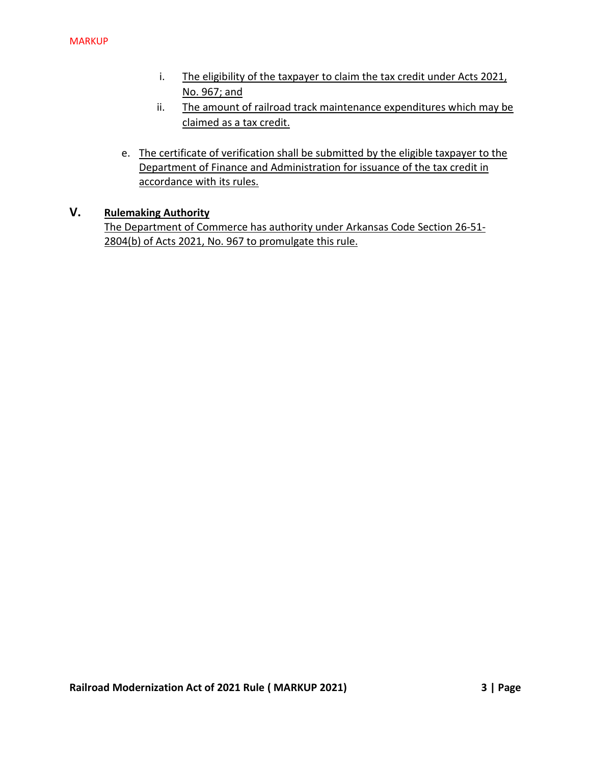- i. The eligibility of the taxpayer to claim the tax credit under Acts 2021, No. 967; and
- ii. The amount of railroad track maintenance expenditures which may be claimed as a tax credit.
- e. The certificate of verification shall be submitted by the eligible taxpayer to the Department of Finance and Administration for issuance of the tax credit in accordance with its rules.

#### **V. Rulemaking Authority**

The Department of Commerce has authority under Arkansas Code Section 26-51- 2804(b) of Acts 2021, No. 967 to promulgate this rule.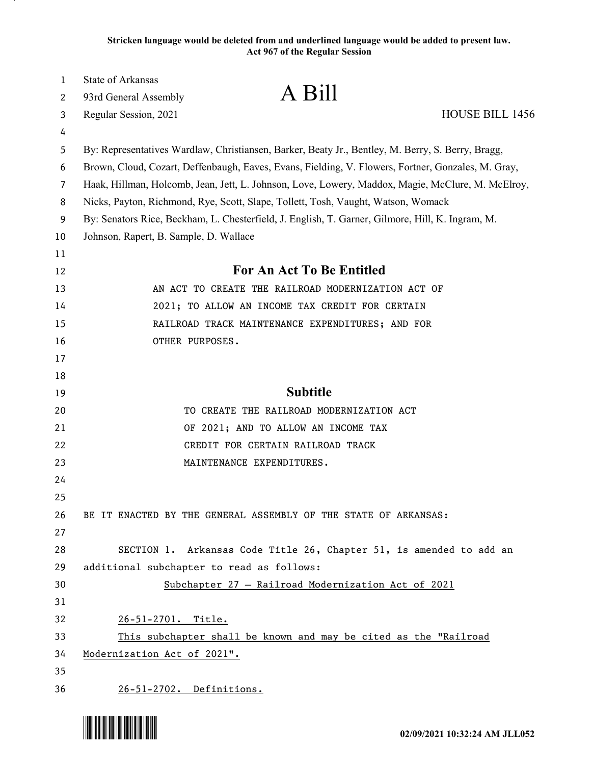**Stricken language would be deleted from and underlined language would be added to present law. Act 967 of the Regular Session**

| $\mathbf{1}$ | State of Arkansas                                                                                  |                                                                                                   |                        |  |
|--------------|----------------------------------------------------------------------------------------------------|---------------------------------------------------------------------------------------------------|------------------------|--|
| 2            | 93rd General Assembly                                                                              | A Bill                                                                                            |                        |  |
| 3            | Regular Session, 2021                                                                              |                                                                                                   | <b>HOUSE BILL 1456</b> |  |
| 4            |                                                                                                    |                                                                                                   |                        |  |
| 5            |                                                                                                    | By: Representatives Wardlaw, Christiansen, Barker, Beaty Jr., Bentley, M. Berry, S. Berry, Bragg, |                        |  |
| 6            | Brown, Cloud, Cozart, Deffenbaugh, Eaves, Evans, Fielding, V. Flowers, Fortner, Gonzales, M. Gray, |                                                                                                   |                        |  |
| 7            | Haak, Hillman, Holcomb, Jean, Jett, L. Johnson, Love, Lowery, Maddox, Magie, McClure, M. McElroy,  |                                                                                                   |                        |  |
| 8            | Nicks, Payton, Richmond, Rye, Scott, Slape, Tollett, Tosh, Vaught, Watson, Womack                  |                                                                                                   |                        |  |
| 9            | By: Senators Rice, Beckham, L. Chesterfield, J. English, T. Garner, Gilmore, Hill, K. Ingram, M.   |                                                                                                   |                        |  |
| 10           | Johnson, Rapert, B. Sample, D. Wallace                                                             |                                                                                                   |                        |  |
| 11           |                                                                                                    |                                                                                                   |                        |  |
| 12           | <b>For An Act To Be Entitled</b>                                                                   |                                                                                                   |                        |  |
| 13           |                                                                                                    | AN ACT TO CREATE THE RAILROAD MODERNIZATION ACT OF                                                |                        |  |
| 14           |                                                                                                    | 2021; TO ALLOW AN INCOME TAX CREDIT FOR CERTAIN                                                   |                        |  |
| 15           |                                                                                                    | RAILROAD TRACK MAINTENANCE EXPENDITURES; AND FOR                                                  |                        |  |
| 16           | OTHER PURPOSES.                                                                                    |                                                                                                   |                        |  |
| 17           |                                                                                                    |                                                                                                   |                        |  |
| 18           |                                                                                                    |                                                                                                   |                        |  |
| 19           |                                                                                                    | <b>Subtitle</b>                                                                                   |                        |  |
| 20           |                                                                                                    | TO CREATE THE RAILROAD MODERNIZATION ACT                                                          |                        |  |
| 21           |                                                                                                    | OF 2021; AND TO ALLOW AN INCOME TAX                                                               |                        |  |
| 22           |                                                                                                    | CREDIT FOR CERTAIN RAILROAD TRACK                                                                 |                        |  |
| 23           |                                                                                                    | MAINTENANCE EXPENDITURES.                                                                         |                        |  |
| 24           |                                                                                                    |                                                                                                   |                        |  |
| 25           |                                                                                                    |                                                                                                   |                        |  |
| 26           |                                                                                                    | BE IT ENACTED BY THE GENERAL ASSEMBLY OF THE STATE OF ARKANSAS:                                   |                        |  |
| 27           |                                                                                                    |                                                                                                   |                        |  |
| 28           |                                                                                                    | SECTION 1. Arkansas Code Title 26, Chapter 51, is amended to add an                               |                        |  |
| 29           | additional subchapter to read as follows:                                                          |                                                                                                   |                        |  |
| 30           |                                                                                                    | Subchapter 27 - Railroad Modernization Act of 2021                                                |                        |  |
| 31           |                                                                                                    |                                                                                                   |                        |  |
| 32           | 26-51-2701. Title.                                                                                 |                                                                                                   |                        |  |
| 33           | This subchapter shall be known and may be cited as the "Railroad                                   |                                                                                                   |                        |  |
| 34           | Modernization Act of 2021".                                                                        |                                                                                                   |                        |  |
| 35           |                                                                                                    |                                                                                                   |                        |  |
| 36           | 26-51-2702. Definitions.                                                                           |                                                                                                   |                        |  |

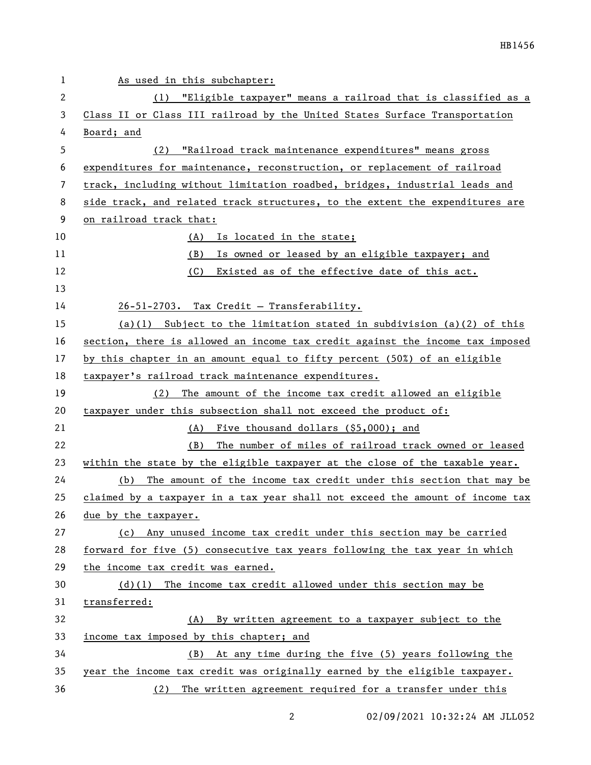| 1  | As used in this subchapter:                                                   |  |  |
|----|-------------------------------------------------------------------------------|--|--|
| 2  | (1) "Eligible taxpayer" means a railroad that is classified as a              |  |  |
| 3  | Class II or Class III railroad by the United States Surface Transportation    |  |  |
| 4  | Board; and                                                                    |  |  |
| 5  | "Railroad track maintenance expenditures" means gross<br>(2)                  |  |  |
| 6  | expenditures for maintenance, reconstruction, or replacement of railroad      |  |  |
| 7  | track, including without limitation roadbed, bridges, industrial leads and    |  |  |
| 8  | side track, and related track structures, to the extent the expenditures are  |  |  |
| 9  | on railroad track that:                                                       |  |  |
| 10 | (A)<br>Is located in the state;                                               |  |  |
| 11 | Is owned or leased by an eligible taxpayer; and<br>(B)                        |  |  |
| 12 | (C) Existed as of the effective date of this act.                             |  |  |
| 13 |                                                                               |  |  |
| 14 | 26-51-2703. Tax Credit - Transferability.                                     |  |  |
| 15 | (a)(1) Subject to the limitation stated in subdivision (a)(2) of this         |  |  |
| 16 | section, there is allowed an income tax credit against the income tax imposed |  |  |
| 17 | by this chapter in an amount equal to fifty percent (50%) of an eligible      |  |  |
| 18 | taxpayer's railroad track maintenance expenditures.                           |  |  |
| 19 | The amount of the income tax credit allowed an eligible<br>(2)                |  |  |
| 20 | taxpayer under this subsection shall not exceed the product of:               |  |  |
| 21 | (A) Five thousand dollars (\$5,000); and                                      |  |  |
| 22 | (B)<br>The number of miles of railroad track owned or leased                  |  |  |
| 23 | within the state by the eligible taxpayer at the close of the taxable year.   |  |  |
| 24 | The amount of the income tax credit under this section that may be<br>(b)     |  |  |
| 25 | claimed by a taxpayer in a tax year shall not exceed the amount of income tax |  |  |
| 26 | due by the taxpayer.                                                          |  |  |
| 27 | Any unused income tax credit under this section may be carried<br>(c)         |  |  |
| 28 | forward for five (5) consecutive tax years following the tax year in which    |  |  |
| 29 | the income tax credit was earned.                                             |  |  |
| 30 | $(d)(1)$ The income tax credit allowed under this section may be              |  |  |
| 31 | transferred:                                                                  |  |  |
| 32 | (A) By written agreement to a taxpayer subject to the                         |  |  |
| 33 | income tax imposed by this chapter; and                                       |  |  |
| 34 | (B) At any time during the five (5) years following the                       |  |  |
| 35 | year the income tax credit was originally earned by the eligible taxpayer.    |  |  |
| 36 | (2) The written agreement required for a transfer under this                  |  |  |

2 02/09/2021 10:32:24 AM JLL052